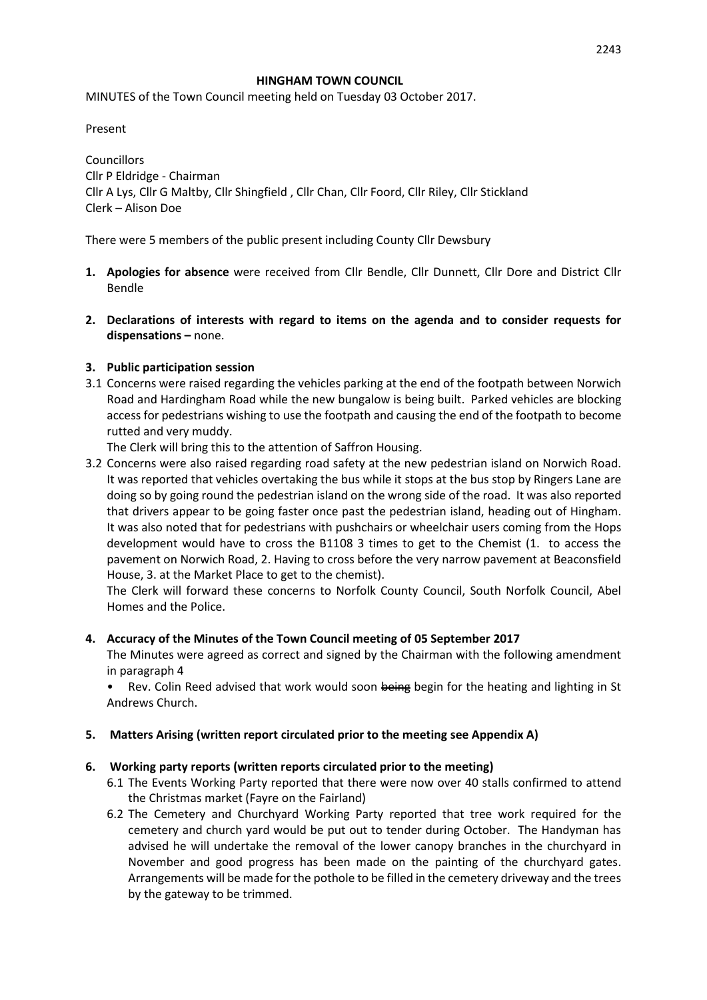### **HINGHAM TOWN COUNCIL**

MINUTES of the Town Council meeting held on Tuesday 03 October 2017.

Present

**Councillors** Cllr P Eldridge - Chairman Cllr A Lys, Cllr G Maltby, Cllr Shingfield , Cllr Chan, Cllr Foord, Cllr Riley, Cllr Stickland Clerk – Alison Doe

There were 5 members of the public present including County Cllr Dewsbury

- **1. Apologies for absence** were received from Cllr Bendle, Cllr Dunnett, Cllr Dore and District Cllr Bendle
- **2. Declarations of interests with regard to items on the agenda and to consider requests for dispensations –** none.

### **3. Public participation session**

3.1 Concerns were raised regarding the vehicles parking at the end of the footpath between Norwich Road and Hardingham Road while the new bungalow is being built. Parked vehicles are blocking access for pedestrians wishing to use the footpath and causing the end of the footpath to become rutted and very muddy.

The Clerk will bring this to the attention of Saffron Housing.

3.2 Concerns were also raised regarding road safety at the new pedestrian island on Norwich Road. It was reported that vehicles overtaking the bus while it stops at the bus stop by Ringers Lane are doing so by going round the pedestrian island on the wrong side of the road. It was also reported that drivers appear to be going faster once past the pedestrian island, heading out of Hingham. It was also noted that for pedestrians with pushchairs or wheelchair users coming from the Hops development would have to cross the B1108 3 times to get to the Chemist (1. to access the pavement on Norwich Road, 2. Having to cross before the very narrow pavement at Beaconsfield House, 3. at the Market Place to get to the chemist).

The Clerk will forward these concerns to Norfolk County Council, South Norfolk Council, Abel Homes and the Police.

### **4. Accuracy of the Minutes of the Town Council meeting of 05 September 2017**

The Minutes were agreed as correct and signed by the Chairman with the following amendment in paragraph 4

Rev. Colin Reed advised that work would soon being begin for the heating and lighting in St Andrews Church.

# **5. Matters Arising (written report circulated prior to the meeting see Appendix A)**

### **6. Working party reports (written reports circulated prior to the meeting)**

- 6.1 The Events Working Party reported that there were now over 40 stalls confirmed to attend the Christmas market (Fayre on the Fairland)
- 6.2 The Cemetery and Churchyard Working Party reported that tree work required for the cemetery and church yard would be put out to tender during October. The Handyman has advised he will undertake the removal of the lower canopy branches in the churchyard in November and good progress has been made on the painting of the churchyard gates. Arrangements will be made for the pothole to be filled in the cemetery driveway and the trees by the gateway to be trimmed.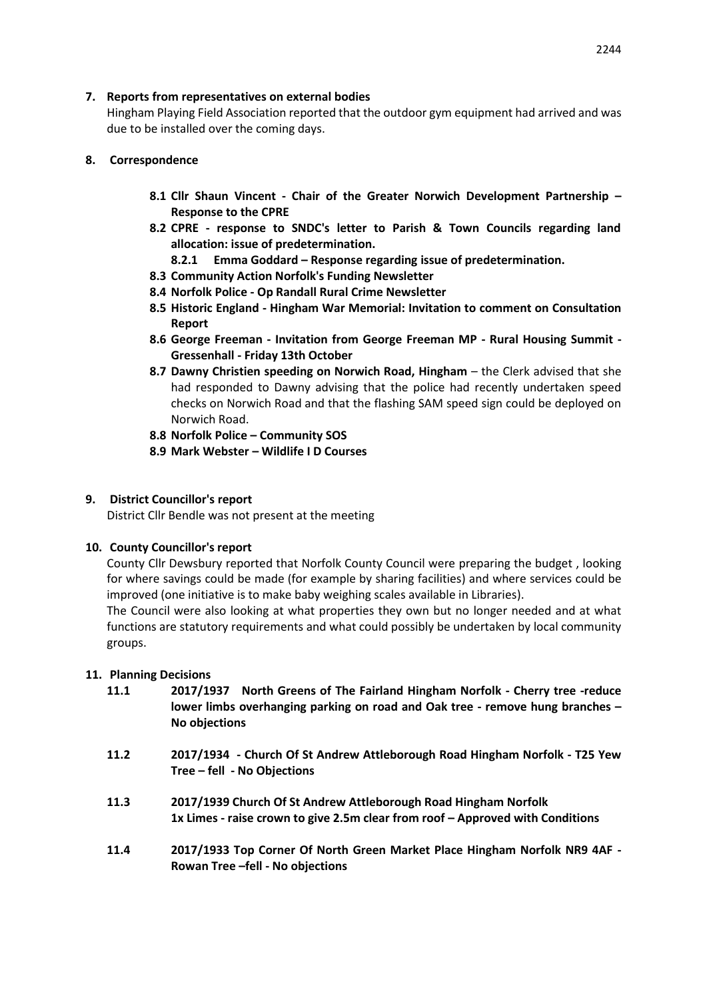### **7. Reports from representatives on external bodies**

Hingham Playing Field Association reported that the outdoor gym equipment had arrived and was due to be installed over the coming days.

## **8. Correspondence**

- **8.1 Cllr Shaun Vincent - Chair of the Greater Norwich Development Partnership – Response to the CPRE**
- **8.2 CPRE - response to SNDC's letter to Parish & Town Councils regarding land allocation: issue of predetermination.**
	- **8.2.1 Emma Goddard – Response regarding issue of predetermination.**
- **8.3 Community Action Norfolk's Funding Newsletter**
- **8.4 Norfolk Police - Op Randall Rural Crime Newsletter**
- **8.5 Historic England - Hingham War Memorial: Invitation to comment on Consultation Report**
- **8.6 George Freeman - Invitation from George Freeman MP - Rural Housing Summit - Gressenhall - Friday 13th October**
- **8.7 Dawny Christien speeding on Norwich Road, Hingham** the Clerk advised that she had responded to Dawny advising that the police had recently undertaken speed checks on Norwich Road and that the flashing SAM speed sign could be deployed on Norwich Road.
- **8.8 Norfolk Police – Community SOS**
- **8.9 Mark Webster – Wildlife I D Courses**

# **9. District Councillor's report**

District Cllr Bendle was not present at the meeting

### **10. County Councillor's report**

County Cllr Dewsbury reported that Norfolk County Council were preparing the budget , looking for where savings could be made (for example by sharing facilities) and where services could be improved (one initiative is to make baby weighing scales available in Libraries).

The Council were also looking at what properties they own but no longer needed and at what functions are statutory requirements and what could possibly be undertaken by local community groups.

# **11. Planning Decisions**

- **11.1 2017/1937 North Greens of The Fairland Hingham Norfolk - Cherry tree -reduce lower limbs overhanging parking on road and Oak tree - remove hung branches – No objections**
- **11.2 2017/1934 - Church Of St Andrew Attleborough Road Hingham Norfolk - T25 Yew Tree – fell - No Objections**
- **11.3 2017/1939 Church Of St Andrew Attleborough Road Hingham Norfolk 1x Limes - raise crown to give 2.5m clear from roof – Approved with Conditions**
- **11.4 2017/1933 Top Corner Of North Green Market Place Hingham Norfolk NR9 4AF Rowan Tree –fell - No objections**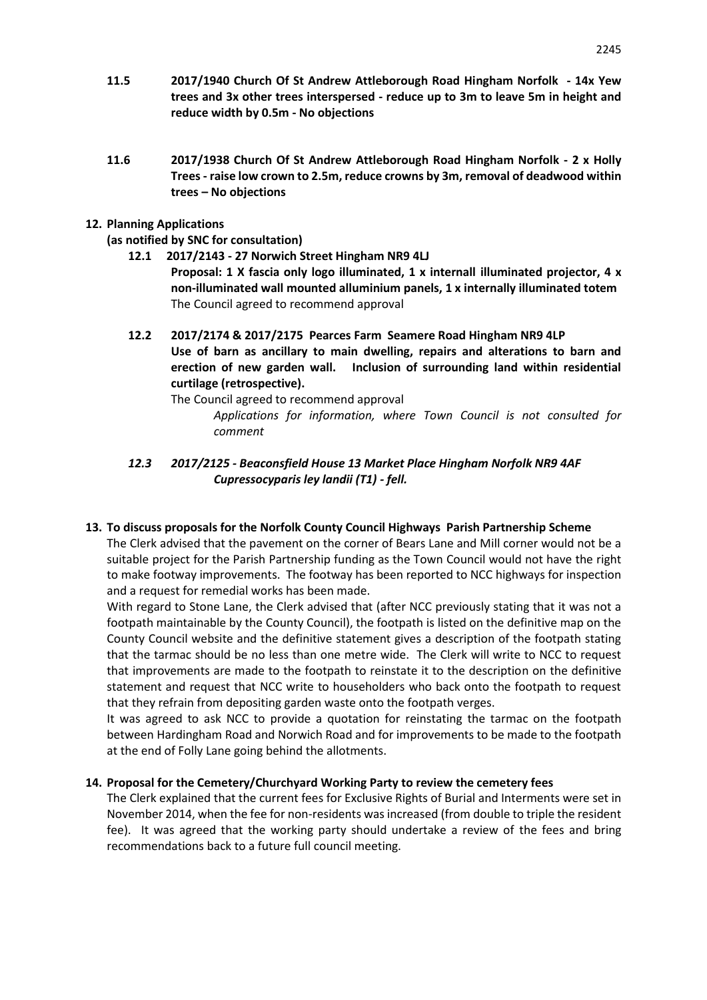- **11.5 2017/1940 Church Of St Andrew Attleborough Road Hingham Norfolk - 14x Yew trees and 3x other trees interspersed - reduce up to 3m to leave 5m in height and reduce width by 0.5m - No objections**
- **11.6 2017/1938 Church Of St Andrew Attleborough Road Hingham Norfolk - 2 x Holly Trees - raise low crown to 2.5m, reduce crowns by 3m, removal of deadwood within trees – No objections**

### **12. Planning Applications**

**(as notified by SNC for consultation)**

- **12.1 2017/2143 - 27 Norwich Street Hingham NR9 4LJ Proposal: 1 X fascia only logo illuminated, 1 x internall illuminated projector, 4 x non-illuminated wall mounted alluminium panels, 1 x internally illuminated totem** The Council agreed to recommend approval
- **12.2 2017/2174 & 2017/2175 Pearces Farm Seamere Road Hingham NR9 4LP Use of barn as ancillary to main dwelling, repairs and alterations to barn and erection of new garden wall. Inclusion of surrounding land within residential curtilage (retrospective).**
	- The Council agreed to recommend approval *Applications for information, where Town Council is not consulted for comment*
- *12.3 2017/2125 - Beaconsfield House 13 Market Place Hingham Norfolk NR9 4AF Cupressocyparis ley landii (T1) - fell.*

# **13. To discuss proposals for the Norfolk County Council Highways Parish Partnership Scheme**

The Clerk advised that the pavement on the corner of Bears Lane and Mill corner would not be a suitable project for the Parish Partnership funding as the Town Council would not have the right to make footway improvements. The footway has been reported to NCC highways for inspection and a request for remedial works has been made.

With regard to Stone Lane, the Clerk advised that (after NCC previously stating that it was not a footpath maintainable by the County Council), the footpath is listed on the definitive map on the County Council website and the definitive statement gives a description of the footpath stating that the tarmac should be no less than one metre wide. The Clerk will write to NCC to request that improvements are made to the footpath to reinstate it to the description on the definitive statement and request that NCC write to householders who back onto the footpath to request that they refrain from depositing garden waste onto the footpath verges.

It was agreed to ask NCC to provide a quotation for reinstating the tarmac on the footpath between Hardingham Road and Norwich Road and for improvements to be made to the footpath at the end of Folly Lane going behind the allotments.

# **14. Proposal for the Cemetery/Churchyard Working Party to review the cemetery fees**

The Clerk explained that the current fees for Exclusive Rights of Burial and Interments were set in November 2014, when the fee for non-residents was increased (from double to triple the resident fee). It was agreed that the working party should undertake a review of the fees and bring recommendations back to a future full council meeting.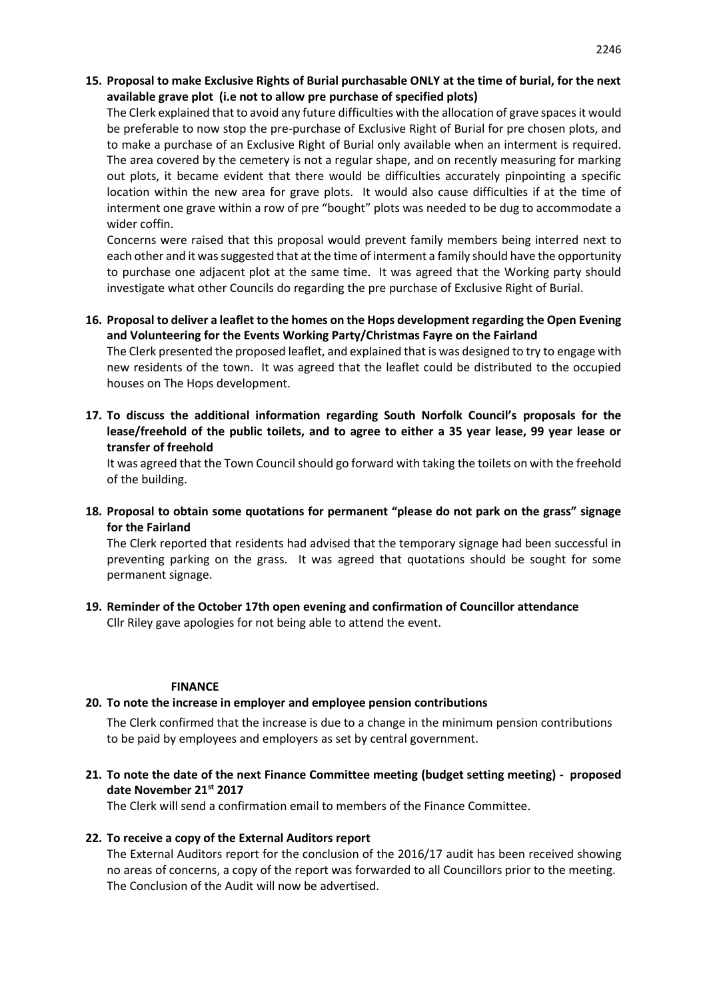### **15. Proposal to make Exclusive Rights of Burial purchasable ONLY at the time of burial, for the next available grave plot (i.e not to allow pre purchase of specified plots)**

The Clerk explained that to avoid any future difficulties with the allocation of grave spaces it would be preferable to now stop the pre-purchase of Exclusive Right of Burial for pre chosen plots, and to make a purchase of an Exclusive Right of Burial only available when an interment is required. The area covered by the cemetery is not a regular shape, and on recently measuring for marking out plots, it became evident that there would be difficulties accurately pinpointing a specific location within the new area for grave plots. It would also cause difficulties if at the time of interment one grave within a row of pre "bought" plots was needed to be dug to accommodate a wider coffin.

Concerns were raised that this proposal would prevent family members being interred next to each other and it was suggested that at the time of interment a family should have the opportunity to purchase one adjacent plot at the same time. It was agreed that the Working party should investigate what other Councils do regarding the pre purchase of Exclusive Right of Burial.

### **16. Proposal to deliver a leaflet to the homes on the Hops development regarding the Open Evening and Volunteering for the Events Working Party/Christmas Fayre on the Fairland**

The Clerk presented the proposed leaflet, and explained that is was designed to try to engage with new residents of the town. It was agreed that the leaflet could be distributed to the occupied houses on The Hops development.

**17. To discuss the additional information regarding South Norfolk Council's proposals for the lease/freehold of the public toilets, and to agree to either a 35 year lease, 99 year lease or transfer of freehold**

It was agreed that the Town Council should go forward with taking the toilets on with the freehold of the building.

**18. Proposal to obtain some quotations for permanent "please do not park on the grass" signage for the Fairland** 

The Clerk reported that residents had advised that the temporary signage had been successful in preventing parking on the grass. It was agreed that quotations should be sought for some permanent signage.

**19. Reminder of the October 17th open evening and confirmation of Councillor attendance**  Cllr Riley gave apologies for not being able to attend the event.

### **FINANCE**

### **20. To note the increase in employer and employee pension contributions**

The Clerk confirmed that the increase is due to a change in the minimum pension contributions to be paid by employees and employers as set by central government.

**21. To note the date of the next Finance Committee meeting (budget setting meeting) - proposed date November 21st 2017**

The Clerk will send a confirmation email to members of the Finance Committee.

### **22. To receive a copy of the External Auditors report**

The External Auditors report for the conclusion of the 2016/17 audit has been received showing no areas of concerns, a copy of the report was forwarded to all Councillors prior to the meeting. The Conclusion of the Audit will now be advertised.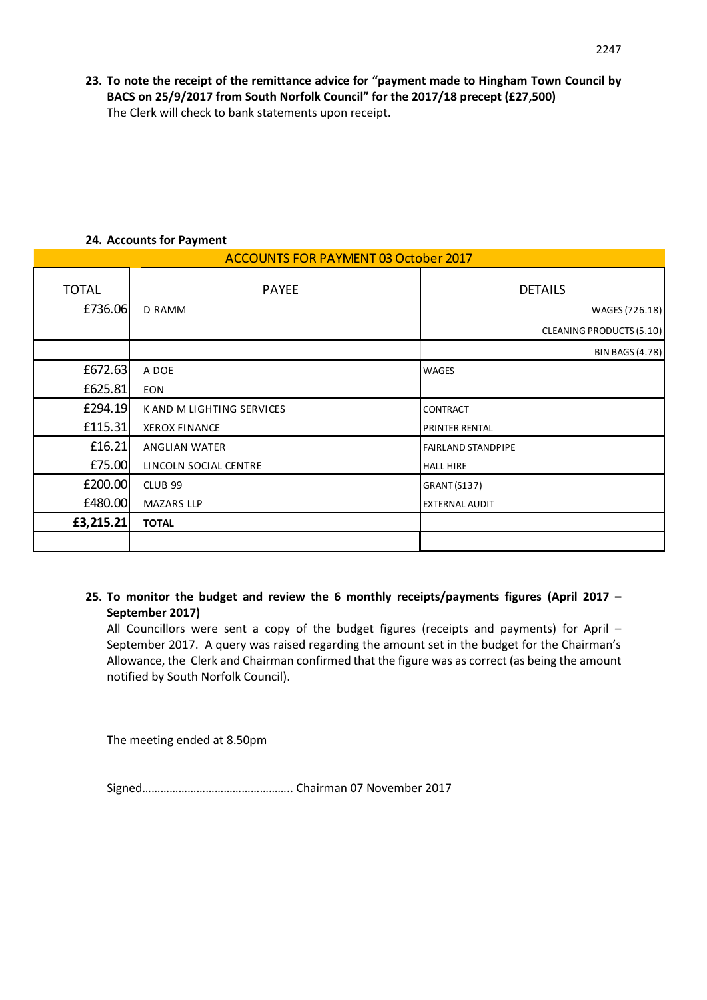**23. To note the receipt of the remittance advice for "payment made to Hingham Town Council by BACS on 25/9/2017 from South Norfolk Council" for the 2017/18 precept (£27,500)** The Clerk will check to bank statements upon receipt.

| <b>ACCOUNTS FOR PAYMENT 03 October 2017</b> |                           |                                 |
|---------------------------------------------|---------------------------|---------------------------------|
| <b>TOTAL</b>                                | <b>PAYEE</b>              | <b>DETAILS</b>                  |
| £736.06                                     | <b>D RAMM</b>             | WAGES (726.18)                  |
|                                             |                           | <b>CLEANING PRODUCTS (5.10)</b> |
|                                             |                           | <b>BIN BAGS (4.78)</b>          |
| £672.63                                     | A DOE                     | WAGES                           |
| £625.81                                     | <b>EON</b>                |                                 |
| £294.19                                     | K AND M LIGHTING SERVICES | <b>CONTRACT</b>                 |
| £115.31                                     | <b>XEROX FINANCE</b>      | <b>PRINTER RENTAL</b>           |
| £16.21                                      | <b>ANGLIAN WATER</b>      | <b>FAIRLAND STANDPIPE</b>       |
| £75.00                                      | LINCOLN SOCIAL CENTRE     | <b>HALL HIRE</b>                |
| £200.00                                     | <b>CLUB 99</b>            | <b>GRANT (S137)</b>             |
| £480.00                                     | <b>MAZARS LLP</b>         | <b>EXTERNAL AUDIT</b>           |
| £3,215.21                                   | <b>TOTAL</b>              |                                 |
|                                             |                           |                                 |

# **24. Accounts for Payment**

**25. To monitor the budget and review the 6 monthly receipts/payments figures (April 2017 – September 2017)**

All Councillors were sent a copy of the budget figures (receipts and payments) for April – September 2017. A query was raised regarding the amount set in the budget for the Chairman's Allowance, the Clerk and Chairman confirmed that the figure was as correct (as being the amount notified by South Norfolk Council).

The meeting ended at 8.50pm

Signed………………………………………….. Chairman 07 November 2017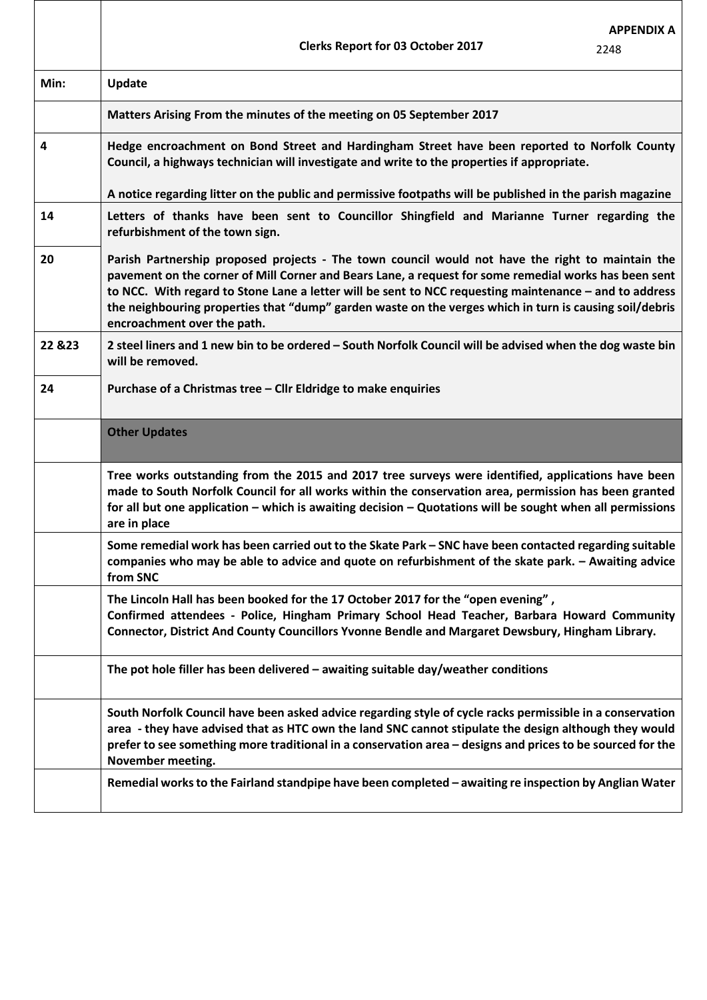|         | <b>Clerks Report for 03 October 2017</b>                                                                                                                                                                                                                                                                                                                                                                                                                      | <b>APPENDIX A</b><br>2248 |
|---------|---------------------------------------------------------------------------------------------------------------------------------------------------------------------------------------------------------------------------------------------------------------------------------------------------------------------------------------------------------------------------------------------------------------------------------------------------------------|---------------------------|
| Min:    | Update                                                                                                                                                                                                                                                                                                                                                                                                                                                        |                           |
|         | Matters Arising From the minutes of the meeting on 05 September 2017                                                                                                                                                                                                                                                                                                                                                                                          |                           |
| 4       | Hedge encroachment on Bond Street and Hardingham Street have been reported to Norfolk County<br>Council, a highways technician will investigate and write to the properties if appropriate.                                                                                                                                                                                                                                                                   |                           |
|         | A notice regarding litter on the public and permissive footpaths will be published in the parish magazine                                                                                                                                                                                                                                                                                                                                                     |                           |
| 14      | Letters of thanks have been sent to Councillor Shingfield and Marianne Turner regarding the<br>refurbishment of the town sign.                                                                                                                                                                                                                                                                                                                                |                           |
| 20      | Parish Partnership proposed projects - The town council would not have the right to maintain the<br>pavement on the corner of Mill Corner and Bears Lane, a request for some remedial works has been sent<br>to NCC. With regard to Stone Lane a letter will be sent to NCC requesting maintenance - and to address<br>the neighbouring properties that "dump" garden waste on the verges which in turn is causing soil/debris<br>encroachment over the path. |                           |
| 22 & 23 | 2 steel liners and 1 new bin to be ordered - South Norfolk Council will be advised when the dog waste bin<br>will be removed.                                                                                                                                                                                                                                                                                                                                 |                           |
| 24      | Purchase of a Christmas tree - Cllr Eldridge to make enquiries                                                                                                                                                                                                                                                                                                                                                                                                |                           |
|         | <b>Other Updates</b>                                                                                                                                                                                                                                                                                                                                                                                                                                          |                           |
|         | Tree works outstanding from the 2015 and 2017 tree surveys were identified, applications have been<br>made to South Norfolk Council for all works within the conservation area, permission has been granted<br>for all but one application – which is awaiting decision – Quotations will be sought when all permissions<br>are in place                                                                                                                      |                           |
|         | Some remedial work has been carried out to the Skate Park - SNC have been contacted regarding suitable<br>companies who may be able to advice and quote on refurbishment of the skate park. - Awaiting advice<br>from SNC                                                                                                                                                                                                                                     |                           |
|         | The Lincoln Hall has been booked for the 17 October 2017 for the "open evening",<br>Confirmed attendees - Police, Hingham Primary School Head Teacher, Barbara Howard Community<br>Connector, District And County Councillors Yvonne Bendle and Margaret Dewsbury, Hingham Library.                                                                                                                                                                           |                           |
|         | The pot hole filler has been delivered - awaiting suitable day/weather conditions                                                                                                                                                                                                                                                                                                                                                                             |                           |
|         | South Norfolk Council have been asked advice regarding style of cycle racks permissible in a conservation<br>area - they have advised that as HTC own the land SNC cannot stipulate the design although they would<br>prefer to see something more traditional in a conservation area - designs and prices to be sourced for the<br>November meeting.                                                                                                         |                           |
|         | Remedial works to the Fairland standpipe have been completed - awaiting re inspection by Anglian Water                                                                                                                                                                                                                                                                                                                                                        |                           |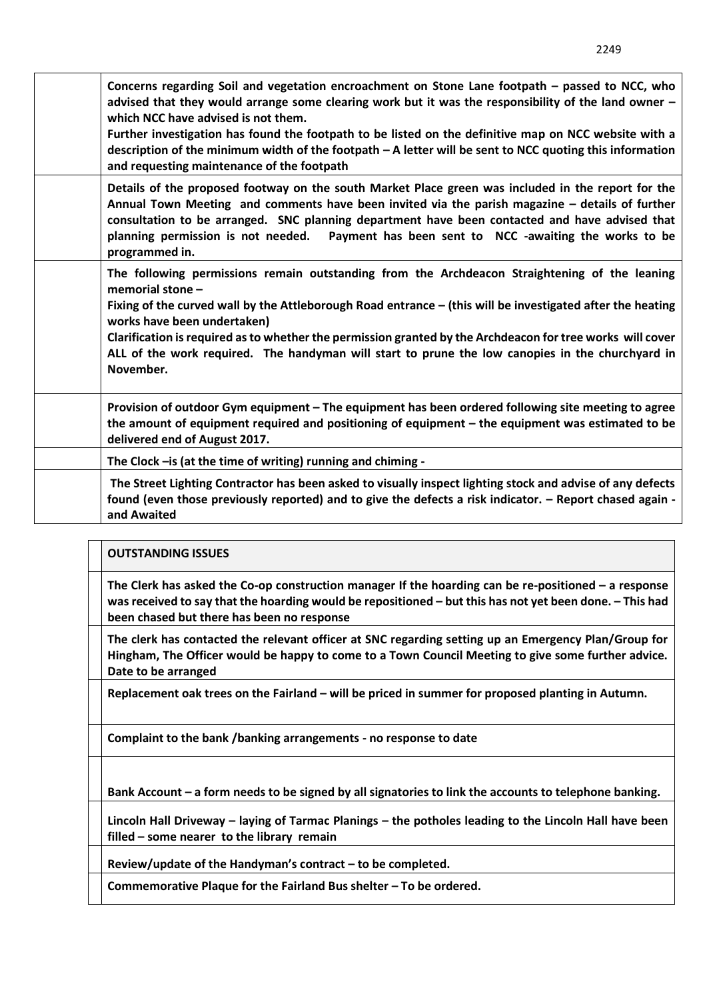| Concerns regarding Soil and vegetation encroachment on Stone Lane footpath – passed to NCC, who<br>advised that they would arrange some clearing work but it was the responsibility of the land owner -<br>which NCC have advised is not them.<br>Further investigation has found the footpath to be listed on the definitive map on NCC website with a<br>description of the minimum width of the footpath - A letter will be sent to NCC quoting this information<br>and requesting maintenance of the footpath |
|-------------------------------------------------------------------------------------------------------------------------------------------------------------------------------------------------------------------------------------------------------------------------------------------------------------------------------------------------------------------------------------------------------------------------------------------------------------------------------------------------------------------|
| Details of the proposed footway on the south Market Place green was included in the report for the<br>Annual Town Meeting and comments have been invited via the parish magazine - details of further<br>consultation to be arranged. SNC planning department have been contacted and have advised that<br>planning permission is not needed.<br>Payment has been sent to NCC -awaiting the works to be<br>programmed in.                                                                                         |
| The following permissions remain outstanding from the Archdeacon Straightening of the leaning<br>memorial stone -<br>Fixing of the curved wall by the Attleborough Road entrance – (this will be investigated after the heating<br>works have been undertaken)<br>Clarification is required as to whether the permission granted by the Archdeacon for tree works will cover<br>ALL of the work required. The handyman will start to prune the low canopies in the churchyard in<br>November.                     |
| Provision of outdoor Gym equipment – The equipment has been ordered following site meeting to agree<br>the amount of equipment required and positioning of equipment $-$ the equipment was estimated to be<br>delivered end of August 2017.                                                                                                                                                                                                                                                                       |
| The Clock - is (at the time of writing) running and chiming -                                                                                                                                                                                                                                                                                                                                                                                                                                                     |
| The Street Lighting Contractor has been asked to visually inspect lighting stock and advise of any defects<br>found (even those previously reported) and to give the defects a risk indicator. - Report chased again -<br>and Awaited                                                                                                                                                                                                                                                                             |

### **OUTSTANDING ISSUES**

**The Clerk has asked the Co-op construction manager If the hoarding can be re-positioned – a response was received to say that the hoarding would be repositioned – but this has not yet been done. - This had been chased but there has been no response**

**The clerk has contacted the relevant officer at SNC regarding setting up an Emergency Plan/Group for Hingham, The Officer would be happy to come to a Town Council Meeting to give some further advice. Date to be arranged**

**Replacement oak trees on the Fairland – will be priced in summer for proposed planting in Autumn.** 

**Complaint to the bank /banking arrangements - no response to date** 

**Bank Account – a form needs to be signed by all signatories to link the accounts to telephone banking.** 

**Lincoln Hall Driveway – laying of Tarmac Planings – the potholes leading to the Lincoln Hall have been filled – some nearer to the library remain** 

**Review/update of the Handyman's contract – to be completed.** 

**Commemorative Plaque for the Fairland Bus shelter – To be ordered.**